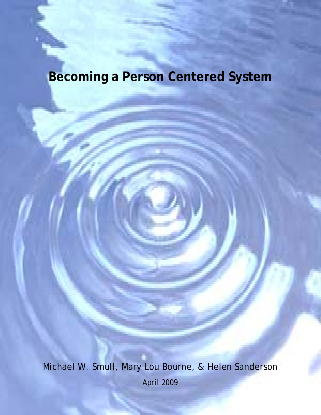# **Becoming a Person Centered System**

Michael W. Smull, Mary Lou Bourne, & Helen Sanderson April 2009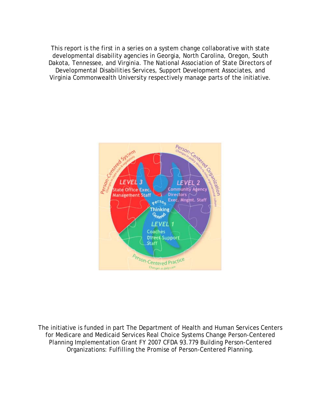This report is the first in a series on a system change collaborative with state developmental disability agencies in Georgia, North Carolina, Oregon, South Dakota, Tennessee, and Virginia. The National Association of State Directors of Developmental Disabilities Services, Support Development Associates, and Virginia Commonwealth University respectively manage parts of the initiative.



The initiative is funded in part The Department of Health and Human Services Centers for Medicare and Medicaid Services Real Choice Systems Change Person-Centered Planning Implementation Grant FY 2007 CFDA 93.779 Building Person-Centered Organizations: Fulfilling the Promise of Person-Centered Planning.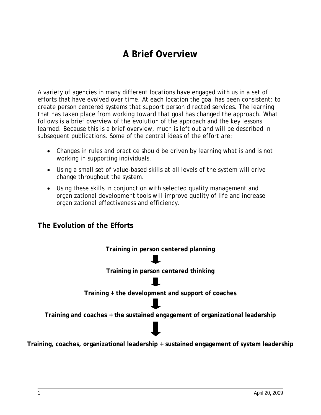# **A Brief Overview**

A variety of agencies in many different locations have engaged with us in a set of efforts that have evolved over time. At each location the goal has been consistent: to create person centered systems that support person directed services. The learning that has taken place from working toward that goal has changed the approach. What follows is a brief overview of the evolution of the approach and the key lessons learned. Because this is a brief overview, much is left out and will be described in subsequent publications. Some of the central ideas of the effort are:

- Changes in rules and practice should be driven by learning what is and is not working in supporting individuals.
- Using a small set of value-based skills at all levels of the system will drive change throughout the system.
- Using these skills in conjunction with selected quality management and organizational development tools will improve quality of life and increase organizational effectiveness and efficiency.

#### **The Evolution of the Efforts**

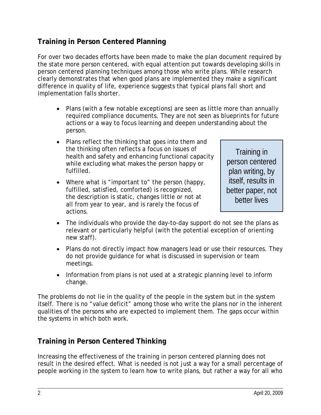#### **Training in Person Centered Planning**

For over two decades efforts have been made to make the plan document required by the state more person centered, with equal attention put towards developing skills in person centered planning techniques among those who write plans. While research clearly demonstrates that when good plans are implemented they make a significant difference in quality of life, experience suggests that typical plans fall short and implementation falls shorter.

- Plans (with a few notable exceptions) are seen as little more than annually required compliance documents. They are not seen as blueprints for future actions or a way to focus learning and deepen understanding about the person.
- Plans reflect the thinking that goes into them and the thinking often reflects a focus on issues of health and safety and enhancing functional capacity while excluding what makes the person happy or fulfilled.
- Where what is "important to" the person (happy, fulfilled, satisfied, comforted) is recognized, the description is static, changes little or not at all from year to year, and is rarely the focus of actions.

Training in person centered plan writing, by itself, results in better paper, not better lives

- The individuals who provide the day-to-day support do not see the plans as relevant or particularly helpful (with the potential exception of orienting new staff).
- Plans do not directly impact how managers lead or use their resources. They do not provide guidance for what is discussed in supervision or team meetings.
- Information from plans is not used at a strategic planning level to inform change.

The problems do not lie in the quality of the people in the system but in the system itself. There is no "value deficit" among those who write the plans nor in the inherent qualities of the persons who are expected to implement them. The gaps occur within the systems in which both work.

#### **Training in Person Centered Thinking**

Increasing the effectiveness of the training in person centered planning does not result in the desired effect. What is needed is not just a way for a small percentage of people working in the system to learn how to write plans, but rather a way for all who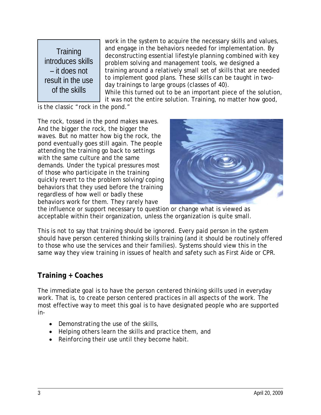**Training** introduces skills – it does not result in the use of the skills

work in the system to acquire the necessary skills and values, and engage in the behaviors needed for implementation. By deconstructing essential lifestyle planning combined with key problem solving and management tools, we designed a training around a relatively small set of skills that are needed to implement good plans. These skills can be taught in twoday trainings to large groups (classes of 40).

While this turned out to be an important piece of the solution, it was not the entire solution. Training, no matter how good,

is the classic "rock in the pond."

The rock, tossed in the pond makes waves. And the bigger the rock, the bigger the waves. But no matter how big the rock, the pond eventually goes still again. The people attending the training go back to settings with the same culture and the same demands. Under the typical pressures most of those who participate in the training quickly revert to the problem solving/coping behaviors that they used before the training regardless of how well or badly these behaviors work for them. They rarely have



the influence or support necessary to question or change what is viewed as acceptable within their organization, unless the organization is quite small.

This is not to say that training should be ignored. Every paid person in the system should have person centered thinking skills training (and it should be routinely offered to those who use the services and their families). Systems should view this in the same way they view training in issues of health and safety such as First Aide or CPR.

#### **Training + Coaches**

The immediate goal is to have the person centered thinking skills used in everyday work. That is, to create person centered practices in all aspects of the work. The most effective way to meet this goal is to have designated people who are supported in-

- Demonstrating the use of the skills,
- Helping others learn the skills and practice them, and
- Reinforcing their use until they become habit.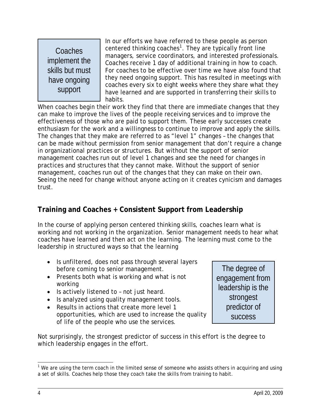Coaches implement the skills but must have ongoing support

In our efforts we have referred to these people as person centered thinking coaches<sup>[1](#page-5-0)</sup>. They are typically front line managers, service coordinators, and interested professionals. Coaches receive 1 day of additional training in how to coach. For coaches to be effective over time we have also found that they need ongoing support. This has resulted in meetings with coaches every six to eight weeks where they share what they have learned and are supported in transferring their skills to habits.

When coaches begin their work they find that there are immediate changes that they can make to improve the lives of the people receiving services and to improve the effectiveness of those who are paid to support them. These early successes create enthusiasm for the work and a willingness to continue to improve and apply the skills. The changes that they make are referred to as "level 1" changes – the changes that can be made without permission from senior management that don't require a change in organizational practices or structures. But without the support of senior management coaches run out of level 1 changes and see the need for changes in practices and structures that they cannot make. Without the support of senior management, coaches run out of the changes that they can make on their own. Seeing the need for change without anyone acting on it creates cynicism and damages trust.

## **Training and Coaches + Consistent Support from Leadership**

In the course of applying person centered thinking skills, coaches learn what is working and not working in the organization. Senior management needs to hear what coaches have learned and then act on the learning. The learning must come to the leadership in structured ways so that the learning

- Is unfiltered, does not pass through several layers before coming to senior management.
- Presents both what is working and what is not working
- Is actively listened to not just heard.
- Is analyzed using quality management tools.
- Results in actions that create more level 1 opportunities, which are used to increase the quality of life of the people who use the services.

Not surprisingly, the strongest predictor of success in this effort is the degree to which leadership engages in the effort.

The degree of engagement from leadership is the strongest predictor of success

<span id="page-5-0"></span> $\overline{a}$ <sup>1</sup> We are using the term coach in the limited sense of someone who assists others in acquiring and using a set of skills. Coaches help those they coach take the skills from training to habit.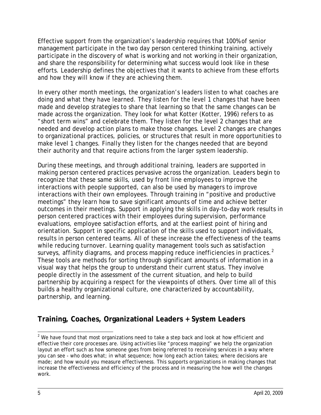Effective support from the organization's leadership requires that 100% of senior management participate in the two day person centered thinking training, actively participate in the discovery of what is working and not working in their organization, and share the responsibility for determining what success would look like in these efforts. Leadership defines the objectives that it wants to achieve from these efforts and how they will know if they are achieving them.

In every other month meetings, the organization's leaders listen to what coaches are doing and what they have learned. They listen for the level 1 changes that have been made and develop strategies to share that learning so that the same changes can be made across the organization. They look for what Kotter (Kotter, 1996) refers to as "short term wins" and celebrate them. They listen for the level 2 changes that are needed and develop action plans to make those changes. Level 2 changes are changes to organizational practices, policies, or structures that result in more opportunities to make level 1 changes. Finally they listen for the changes needed that are beyond their authority and that require actions from the larger system leadership.

During these meetings, and through additional training, leaders are supported in making person centered practices pervasive across the organization. Leaders begin to recognize that these same skills, used by front line employees to improve the interactions with people supported, can also be used by managers to improve interactions with their own employees. Through training in "positive and productive meetings" they learn how to save significant amounts of time and achieve better outcomes in their meetings. Support in applying the skills in day-to-day work results in person centered practices with their employees during supervision, performance evaluations, employee satisfaction efforts, and at the earliest point of hiring and orientation. Support in specific application of the skills used to support individuals, results in person centered teams. All of these increase the effectiveness of the teams while reducing turnover. Learning quality management tools such as satisfaction surveys, affinity diagrams, and process mapping reduce inefficiencies in practices. $<sup>2</sup>$  $<sup>2</sup>$  $<sup>2</sup>$ </sup> These tools are methods for sorting through significant amounts of information in a visual way that helps the group to understand their current status. They involve people directly in the assessment of the current situation, and help to build partnership by acquiring a respect for the viewpoints of others. Over time all of this builds a healthy organizational culture, one characterized by accountability, partnership, and learning.

# **Training, Coaches, Organizational Leaders + System Leaders**

<span id="page-6-0"></span><sup>&</sup>lt;u>2</u><br><sup>2</sup> We have found that most organizations need to take a step back and look at how efficient and effective their core processes are. Using activities like "process mapping" we help the organization layout an effort such as how someone goes from being referred to receiving services in a way where you can see - who does what; in what sequence; how long each action takes; where decisions are made; and how would you measure effectiveness. This supports organizations in making changes that increase the effectiveness and efficiency of the process and in measuring the how well the changes work.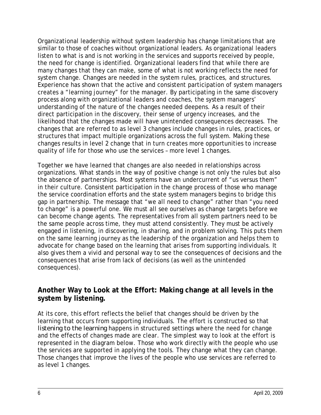Organizational leadership without system leadership has change limitations that are similar to those of coaches without organizational leaders. As organizational leaders listen to what is and is not working in the services and supports received by people, the need for change is identified. Organizational leaders find that while there are many changes that they can make, some of what is not working reflects the need for system change. Changes are needed in the system rules, practices, and structures. Experience has shown that the active and consistent participation of system managers creates a "learning journey" for the manager. By participating in the same discovery process along with organizational leaders and coaches, the system managers' understanding of the nature of the changes needed deepens. As a result of their direct participation in the discovery, their sense of urgency increases, and the likelihood that the changes made will have unintended consequences decreases. The changes that are referred to as level 3 changes include changes in rules, practices, or structures that impact multiple organizations across the full system. Making these changes results in level 2 change that in turn creates more opportunities to increase quality of life for those who use the services – more level 1 changes.

Together we have learned that changes are also needed in relationships across organizations. What stands in the way of positive change is not only the rules but also the absence of partnerships. Most systems have an undercurrent of "us versus them" in their culture. Consistent participation in the change process of those who manage the service coordination efforts and the state system managers begins to bridge this gap in partnership. The message that "we all need to change" rather than "you need to change" is a powerful one. We must all see ourselves as change targets before we can become change agents. The representatives from all system partners need to be the same people across time, they must attend consistently. They must be actively engaged in listening, in discovering, in sharing, and in problem solving. This puts them on the same learning journey as the leadership of the organization and helps them to advocate for change based on the learning that arises from supporting individuals. It also gives them a vivid and personal way to see the consequences of decisions and the consequences that arise from lack of decisions (as well as the unintended consequences).

#### **Another Way to Look at the Effort: Making change at all levels in the system by listening.**

At its core, this effort reflects the belief that changes should be driven by the learning that occurs from supporting individuals. The effort is constructed so that *listening to the learning* happens in structured settings where the need for change and the effects of changes made are clear. The simplest way to look at the effort is represented in the diagram below. Those who work directly with the people who use the services are supported in applying the tools. They change what they can change. Those changes that improve the lives of the people who use services are referred to as level 1 changes.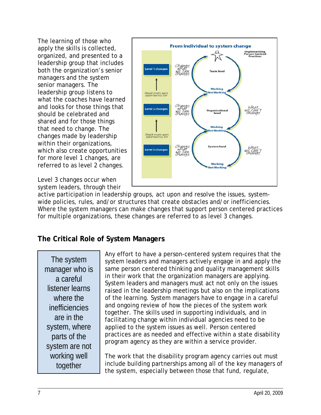The learning of those who apply the skills is collected, organized, and presented to a leadership group that includes both the organization's senior managers and the system senior managers. The leadership group listens to what the coaches have learned and looks for those things that should be celebrated and shared and for those things that need to change. The changes made by leadership within their organizations, which also create opportunities for more level 1 changes, are referred to as level 2 changes.

Level 3 changes occur when system leaders, through their



active participation in leadership groups, act upon and resolve the issues, systemwide policies, rules, and/or structures that create obstacles and/or inefficiencies. Where the system managers can make changes that support person centered practices for multiple organizations, these changes are referred to as level 3 changes.

## **The Critical Role of System Managers**

The system manager who is a careful listener learns where the inefficiencies are in the system, where parts of the system are not working well together

Any effort to have a person-centered system requires that the system leaders and managers actively engage in and apply the same person centered thinking and quality management skills in their work that the organization managers are applying. System leaders and managers must act not only on the issues raised in the leadership meetings but also on the implications of the learning. System managers have to engage in a careful and ongoing review of how the pieces of the system work together. The skills used in supporting individuals, and in facilitating change within individual agencies need to be applied to the system issues as well. Person centered practices are as needed and effective within a state disability program agency as they are within a service provider.

The work that the disability program agency carries out must include building partnerships among all of the key managers of the system, especially between those that fund, regulate,